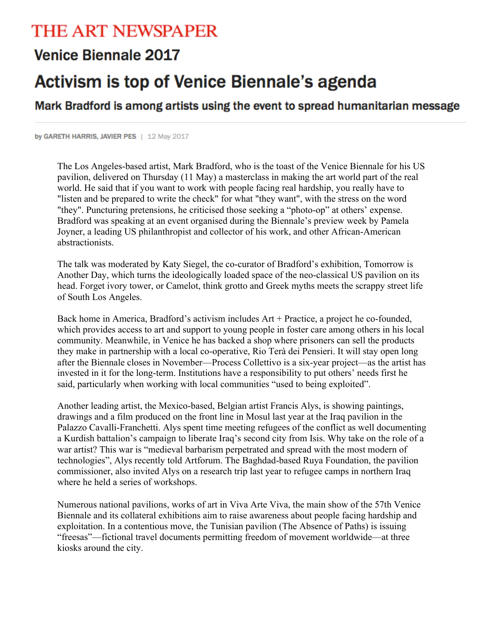## THE ART NEWSPAPER

## **Venice Biennale 2017**

## Activism is top of Venice Biennale's agenda

Mark Bradford is among artists using the event to spread humanitarian message

by GARETH HARRIS, JAVIER PES | 12 May 2017

The Los Angeles-based artist, Mark Bradford, who is the toast of the Venice Biennale for his US pavilion, delivered on Thursday (11 May) a masterclass in making the art world part of the real world. He said that if you want to work with people facing real hardship, you really have to "listen and be prepared to write the check" for what "they want", with the stress on the word "they". Puncturing pretensions, he criticised those seeking a "photo-op" at others' expense. Bradford was speaking at an event organised during the Biennale's preview week by Pamela Joyner, a leading US philanthropist and collector of his work, and other African-American abstractionists.

The talk was moderated by Katy Siegel, the co-curator of Bradford's exhibition, Tomorrow is Another Day, which turns the ideologically loaded space of the neo-classical US pavilion on its head. Forget ivory tower, or Camelot, think grotto and Greek myths meets the scrappy street life of South Los Angeles.

Back home in America, Bradford's activism includes Art + Practice, a project he co-founded, which provides access to art and support to young people in foster care among others in his local community. Meanwhile, in Venice he has backed a shop where prisoners can sell the products they make in partnership with a local co-operative, Rio Terà dei Pensieri. It will stay open long after the Biennale closes in November—Process Collettivo is a six-year project—as the artist has invested in it for the long-term. Institutions have a responsibility to put others' needs first he said, particularly when working with local communities "used to being exploited".

Another leading artist, the Mexico-based, Belgian artist Francis Alys, is showing paintings, drawings and a film produced on the front line in Mosul last year at the Iraq pavilion in the Palazzo Cavalli-Franchetti. Alys spent time meeting refugees of the conflict as well documenting a Kurdish battalion's campaign to liberate Iraq's second city from Isis. Why take on the role of a war artist? This war is "medieval barbarism perpetrated and spread with the most modern of technologies", Alys recently told Artforum. The Baghdad-based Ruya Foundation, the pavilion commissioner, also invited Alys on a research trip last year to refugee camps in northern Iraq where he held a series of workshops.

Numerous national pavilions, works of art in Viva Arte Viva, the main show of the 57th Venice Biennale and its collateral exhibitions aim to raise awareness about people facing hardship and exploitation. In a contentious move, the Tunisian pavilion (The Absence of Paths) is issuing "freesas"—fictional travel documents permitting freedom of movement worldwide—at three kiosks around the city.